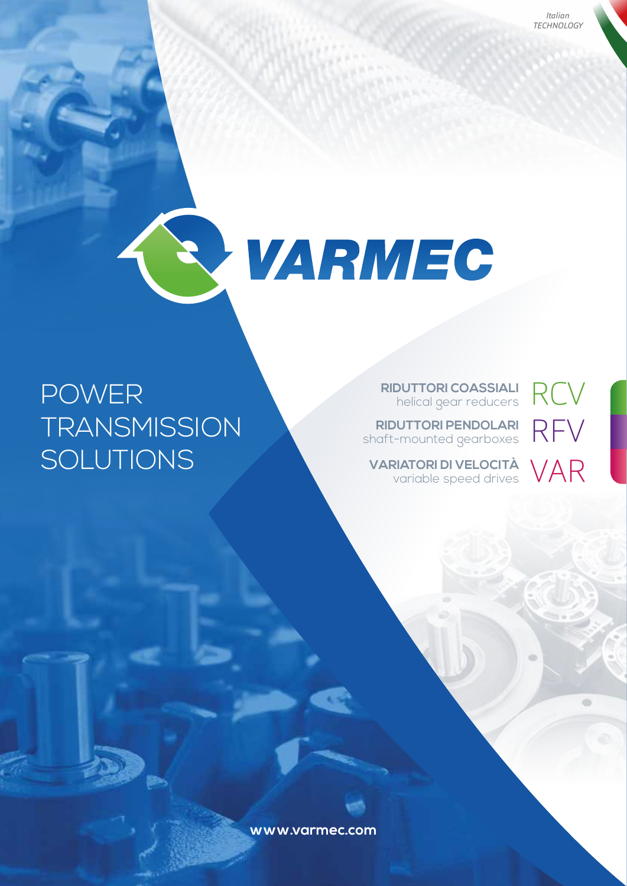RFV

VAR



RCV **RIDUTTORI COASSIALI** helical gear reducers

**RIDUTTORI PENDOLARI** shaft-mounted gearboxes

**VARIATORI DI VELOCITÀ** variable speed drives

# **POWER TRANSMISSION** SOLUTIONS

www.varmec.com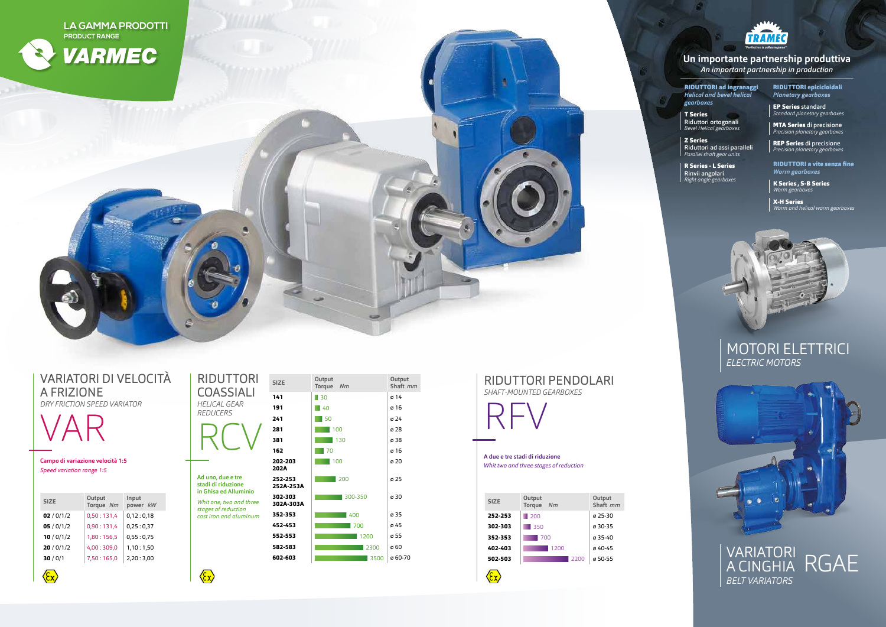RIDUTTORI ad ingranaggi *Helical and bevel helical gearboxes*

T Series Riduttori ortogonali *Bevel Helical gearboxes*

Z Series Riduttori ad assi paralleli *Parallel shaft gear units*

R Series - L Series Rinvii angolari *Right angle gearboxes*

RIDUTTORI epicicloidali *Planetary gearboxes*

EP Series standard *Standard planetary gearboxes*

MTA Series di precisione *Precision planetary gearboxes*

REP Series di precisione *Precision planetary gearboxes*

### **Un importante partnership produttiva** *An important partnership in production*



# MOTORI ELETTRICI *ELECTRIC MOTORS*





## VARIATORI DI VELOCITÀ A FRIZIONE *DRY FRICTION SPEED VARIATOR*

VAR

 $\langle \xi_{\mathsf{X}} \rangle$ 

**Campo di variazione velocità 1:5** *Speed variation range 1:5*

RIDUTTORI

| <b>COASSIALI</b><br>HELICAL GEAR<br><i>REDUCERS</i>                      |
|--------------------------------------------------------------------------|
| Ad uno, due e tre<br>stadi di riduzione<br>in Ghisa ed Alluminio         |
| Whit one, two and three<br>stages of reduction<br>cast iron and aluminum |

 $\left\langle \sum_{i=1}^{n} x_i \right\rangle$ 

| <b>SIZE</b> | Output<br>Torque Nm | Input<br>power kW |
|-------------|---------------------|-------------------|
| 02/0/1/2    | 0,50:131,4          | 0,12:0,18         |
| 05/0/1/2    | 0,90:131,4          | 0,25:0,37         |
| 10/0/1/2    | 1,80:156,5          | 0,55:0,75         |
| 20/0/1/2    | 4,00:309,0          | 1,10:1,50         |
| 30/0/1      | 7,50:165,0          | 2,20:3,00         |





**A due e tre stadi di riduzione** *Whit two and three stages of reduction*

| <b>SIZE</b> | Output<br><b>Torque</b><br>Nm |      | Output<br>Shaft mm |
|-------------|-------------------------------|------|--------------------|
| 252-253     | 200                           |      | ø 25-30            |
| 302-303     | 350                           |      | ø 30-35            |
| 352-353     | 700                           |      | $0.35 - 40$        |
| 402-403     | 1200                          |      | ø 40-45            |
| 502-503     |                               | 2200 | ø 50-55            |
|             |                               |      |                    |

 $\left\langle \sum_{i=1}^{n} a_i \right\rangle$ 



RIDUTTORI a vite senza fine *Worm gearboxes*

K Series , S-B Series *Worm gearboxes*

X-H Series *Worm and helical worm gearboxes*